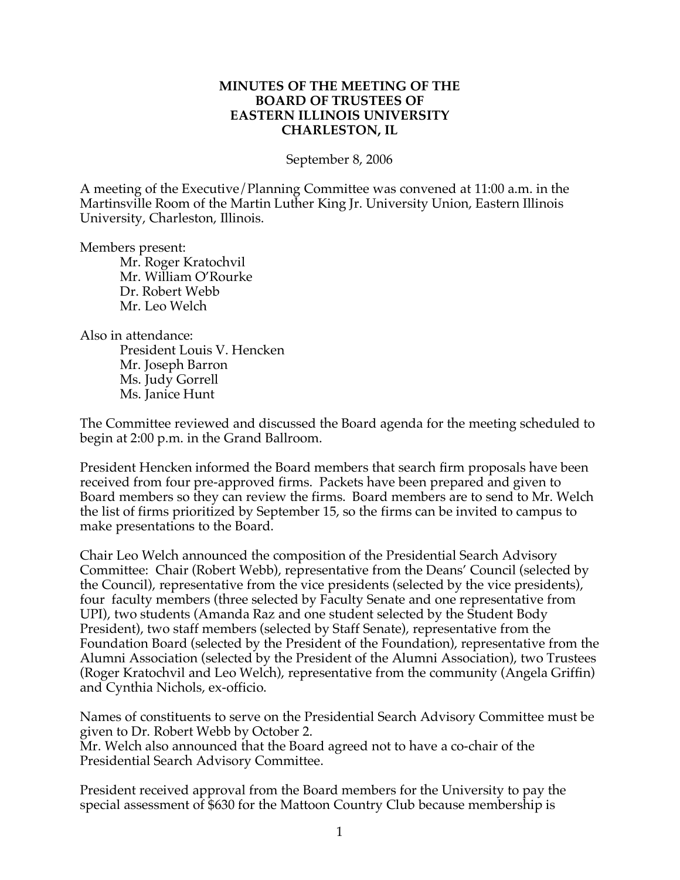## **MINUTES OF THE MEETING OF THE BOARD OF TRUSTEES OF EASTERN ILLINOIS UNIVERSITY CHARLESTON, IL**

September 8, 2006

A meeting of the Executive/Planning Committee was convened at 11:00 a.m. in the Martinsville Room of the Martin Luther King Jr. University Union, Eastern Illinois University, Charleston, Illinois.

Members present:

Mr. Roger Kratochvil Mr. William O'Rourke Dr. Robert Webb Mr. Leo Welch

Also in attendance:

President Louis V. Hencken Mr. Joseph Barron Ms. Judy Gorrell Ms. Janice Hunt

The Committee reviewed and discussed the Board agenda for the meeting scheduled to begin at 2:00 p.m. in the Grand Ballroom.

President Hencken informed the Board members that search firm proposals have been received from four pre-approved firms. Packets have been prepared and given to Board members so they can review the firms. Board members are to send to Mr. Welch the list of firms prioritized by September 15, so the firms can be invited to campus to make presentations to the Board.

Chair Leo Welch announced the composition of the Presidential Search Advisory Committee: Chair (Robert Webb), representative from the Deans' Council (selected by the Council), representative from the vice presidents (selected by the vice presidents), four faculty members (three selected by Faculty Senate and one representative from UPI), two students (Amanda Raz and one student selected by the Student Body President), two staff members (selected by Staff Senate), representative from the Foundation Board (selected by the President of the Foundation), representative from the Alumni Association (selected by the President of the Alumni Association), two Trustees (Roger Kratochvil and Leo Welch), representative from the community (Angela Griffin) and Cynthia Nichols, ex-officio.

Names of constituents to serve on the Presidential Search Advisory Committee must be given to Dr. Robert Webb by October 2. Mr. Welch also announced that the Board agreed not to have a co-chair of the Presidential Search Advisory Committee.

President received approval from the Board members for the University to pay the special assessment of \$630 for the Mattoon Country Club because membership is